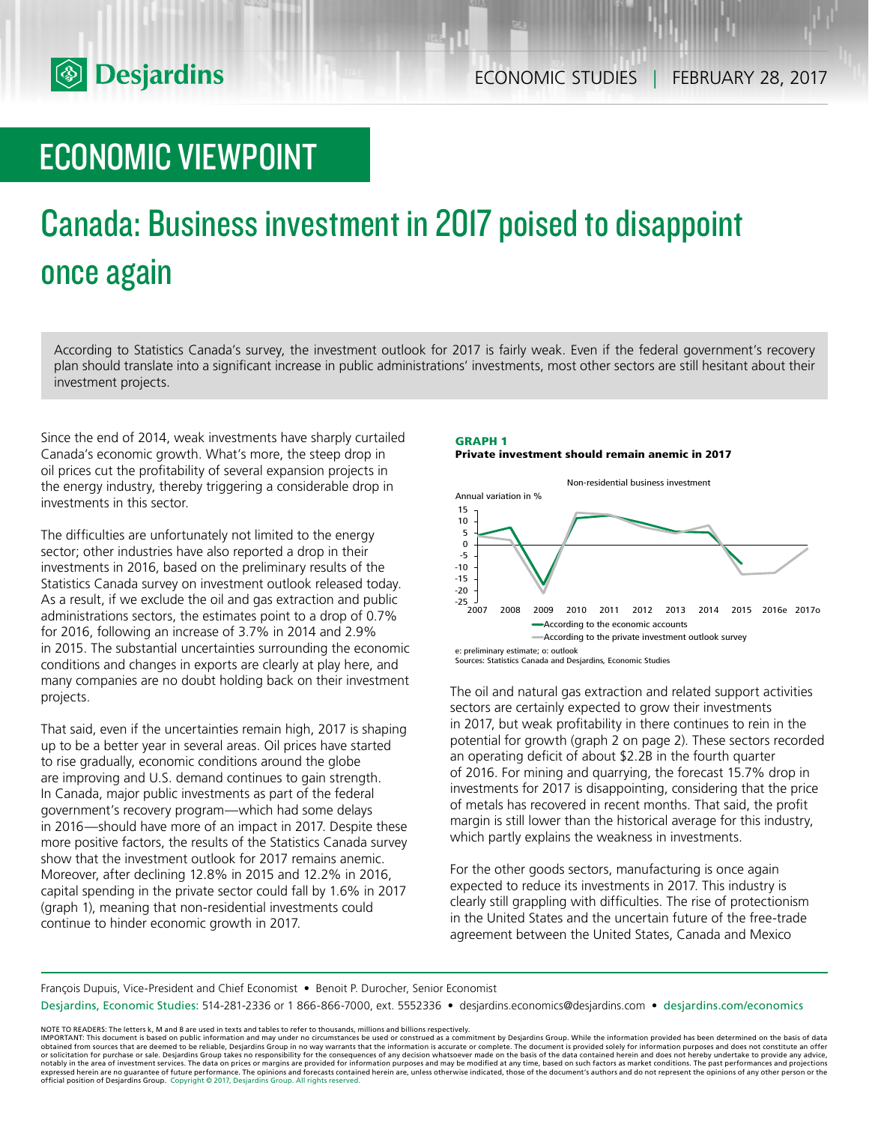

# ECONOMIC VIEWPOINT

# Canada: Business investment in 2017 poised to disappoint once again

According to Statistics Canada's survey, the investment outlook for 2017 is fairly weak. Even if the federal government's recovery plan should translate into a significant increase in public administrations' investments, most other sectors are still hesitant about their investment projects.

Since the end of 2014, weak investments have sharply curtailed Canada's economic growth. What's more, the steep drop in oil prices cut the profitability of several expansion projects in the energy industry, thereby triggering a considerable drop in investments in this sector.

The difficulties are unfortunately not limited to the energy sector; other industries have also reported a drop in their investments in 2016, based on the preliminary results of the Statistics Canada survey on investment outlook released today. As a result, if we exclude the oil and gas extraction and public administrations sectors, the estimates point to a drop of 0.7% for 2016, following an increase of 3.7% in 2014 and 2.9% in 2015. The substantial uncertainties surrounding the economic conditions and changes in exports are clearly at play here, and many companies are no doubt holding back on their investment projects.

That said, even if the uncertainties remain high, 2017 is shaping up to be a better year in several areas. Oil prices have started to rise gradually, economic conditions around the globe are improving and U.S. demand continues to gain strength. In Canada, major public investments as part of the federal government's recovery program—which had some delays in 2016—should have more of an impact in 2017. Despite these more positive factors, the results of the Statistics Canada survey show that the investment outlook for 2017 remains anemic. Moreover, after declining 12.8% in 2015 and 12.2% in 2016, capital spending in the private sector could fall by 1.6% in 2017 (graph 1), meaning that non-residential investments could continue to hinder economic growth in 2017.

# **GRAPH 1 Private investment should remain anemic in 2017**



The oil and natural gas extraction and related support activities sectors are certainly expected to grow their investments in 2017, but weak profitability in there continues to rein in the potential for growth (graph 2 on page 2). These sectors recorded an operating deficit of about \$2.2B in the fourth quarter of 2016. For mining and quarrying, the forecast 15.7% drop in investments for 2017 is disappointing, considering that the price of metals has recovered in recent months. That said, the profit margin is still lower than the historical average for this industry, which partly explains the weakness in investments.

For the other goods sectors, manufacturing is once again expected to reduce its investments in 2017. This industry is clearly still grappling with difficulties. The rise of protectionism in the United States and the uncertain future of the free-trade agreement between the United States, Canada and Mexico

François Dupuis, Vice-President and Chief Economist • Benoit P. Durocher, Senior Economist

Desjardins, Economic Studies: 514-281-2336 or 1 866-866-7000, ext. 5552336 • desjardins.economics@desjardins.com • desjardins.com/economics

NOTE TO READERS: The letters k, M and B are used in texts and tables to refer to thousands, millions and billions respectively.<br>IMPORTANT: This document is based on public information and may under no circumstances be used obtained from sources that are deemed to be reliable, Desjardins Group in no way warrants that the information is accurate or complete. The document is provided solely for information purposes and does not constitute an of expressed herein are no guarantee of future performance. The opinions and forecasts contained herein are, unless otherwise indicated, those of the document's authors and do not represent the opinions of any other person or official position of Desjardins Group. Copyright © 2017, Desjardins Group. All rights reserved.